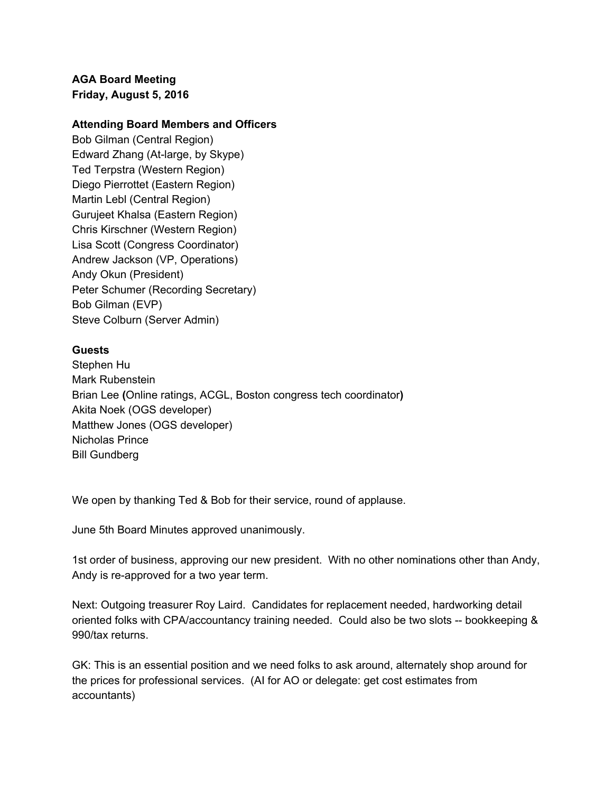**AGA Board Meeting Friday, August 5, 2016**

## **Attending Board Members and Officers**

Bob Gilman (Central Region) Edward Zhang (At-large, by Skype) Ted Terpstra (Western Region) Diego Pierrottet (Eastern Region) Martin Lebl (Central Region) Gurujeet Khalsa (Eastern Region) Chris Kirschner (Western Region) Lisa Scott (Congress Coordinator) Andrew Jackson (VP, Operations) Andy Okun (President) Peter Schumer (Recording Secretary) Bob Gilman (EVP) Steve Colburn (Server Admin)

## **Guests**

Stephen Hu Mark Rubenstein Brian Lee **(**Online ratings, ACGL, Boston congress tech coordinator**)** Akita Noek (OGS developer) Matthew Jones (OGS developer) Nicholas Prince Bill Gundberg

We open by thanking Ted & Bob for their service, round of applause.

June 5th Board Minutes approved unanimously.

1st order of business, approving our new president. With no other nominations other than Andy, Andy is re-approved for a two year term.

Next: Outgoing treasurer Roy Laird. Candidates for replacement needed, hardworking detail oriented folks with CPA/accountancy training needed. Could also be two slots -- bookkeeping & 990/tax returns.

GK: This is an essential position and we need folks to ask around, alternately shop around for the prices for professional services. (AI for AO or delegate: get cost estimates from accountants)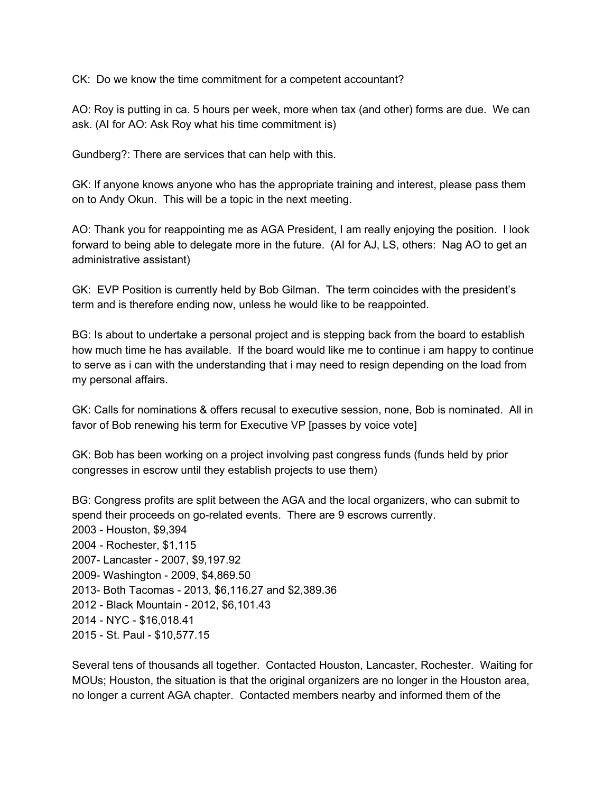CK: Do we know the time commitment for a competent accountant?

AO: Roy is putting in ca. 5 hours per week, more when tax (and other) forms are due. We can ask. (AI for AO: Ask Roy what his time commitment is)

Gundberg?: There are services that can help with this.

GK: If anyone knows anyone who has the appropriate training and interest, please pass them on to Andy Okun. This will be a topic in the next meeting.

AO: Thank you for reappointing me as AGA President, I am really enjoying the position. I look forward to being able to delegate more in the future. (AI for AJ, LS, others: Nag AO to get an administrative assistant)

GK: EVP Position is currently held by Bob Gilman. The term coincides with the president's term and is therefore ending now, unless he would like to be reappointed.

BG: Is about to undertake a personal project and is stepping back from the board to establish how much time he has available. If the board would like me to continue i am happy to continue to serve as i can with the understanding that i may need to resign depending on the load from my personal affairs.

GK: Calls for nominations & offers recusal to executive session, none, Bob is nominated. All in favor of Bob renewing his term for Executive VP [passes by voice vote]

GK: Bob has been working on a project involving past congress funds (funds held by prior congresses in escrow until they establish projects to use them)

BG: Congress profits are split between the AGA and the local organizers, who can submit to spend their proceeds on go-related events. There are 9 escrows currently. 2003 - Houston, \$9,394 2004 - Rochester, \$1,115 2007- Lancaster - 2007, \$9,197.92 2009- Washington - 2009, \$4,869.50 2013- Both Tacomas - 2013, \$6,116.27 and \$2,389.36 2012 - Black Mountain - 2012, \$6,101.43 2014 - NYC - \$16,018.41 2015 - St. Paul - \$10,577.15

Several tens of thousands all together. Contacted Houston, Lancaster, Rochester. Waiting for MOUs; Houston, the situation is that the original organizers are no longer in the Houston area, no longer a current AGA chapter. Contacted members nearby and informed them of the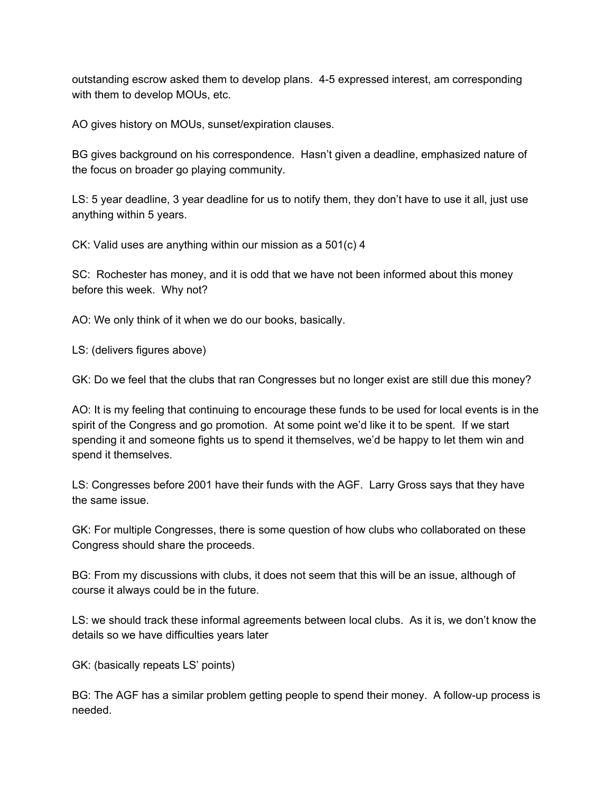outstanding escrow asked them to develop plans. 4-5 expressed interest, am corresponding with them to develop MOUs, etc.

AO gives history on MOUs, sunset/expiration clauses.

BG gives background on his correspondence. Hasn't given a deadline, emphasized nature of the focus on broader go playing community.

LS: 5 year deadline, 3 year deadline for us to notify them, they don't have to use it all, just use anything within 5 years.

CK: Valid uses are anything within our mission as a 501(c) 4

SC: Rochester has money, and it is odd that we have not been informed about this money before this week. Why not?

AO: We only think of it when we do our books, basically.

LS: (delivers figures above)

GK: Do we feel that the clubs that ran Congresses but no longer exist are still due this money?

AO: It is my feeling that continuing to encourage these funds to be used for local events is in the spirit of the Congress and go promotion. At some point we'd like it to be spent. If we start spending it and someone fights us to spend it themselves, we'd be happy to let them win and spend it themselves.

LS: Congresses before 2001 have their funds with the AGF. Larry Gross says that they have the same issue.

GK: For multiple Congresses, there is some question of how clubs who collaborated on these Congress should share the proceeds.

BG: From my discussions with clubs, it does not seem that this will be an issue, although of course it always could be in the future.

LS: we should track these informal agreements between local clubs. As it is, we don't know the details so we have difficulties years later

GK: (basically repeats LS' points)

BG: The AGF has a similar problem getting people to spend their money. A follow-up process is needed.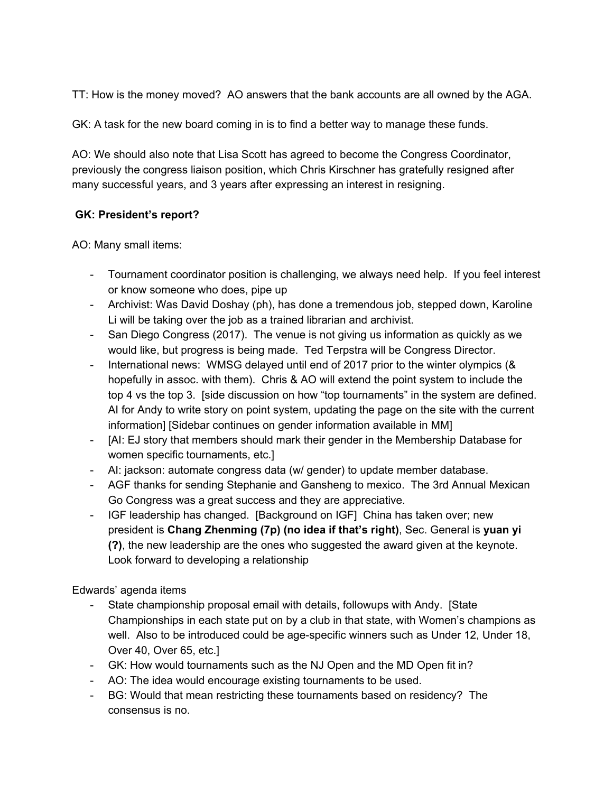TT: How is the money moved? AO answers that the bank accounts are all owned by the AGA.

GK: A task for the new board coming in is to find a better way to manage these funds.

AO: We should also note that Lisa Scott has agreed to become the Congress Coordinator, previously the congress liaison position, which Chris Kirschner has gratefully resigned after many successful years, and 3 years after expressing an interest in resigning.

## **GK: President's report?**

AO: Many small items:

- Tournament coordinator position is challenging, we always need help. If you feel interest or know someone who does, pipe up
- Archivist: Was David Doshay (ph), has done a tremendous job, stepped down, Karoline Li will be taking over the job as a trained librarian and archivist.
- San Diego Congress (2017). The venue is not giving us information as quickly as we would like, but progress is being made. Ted Terpstra will be Congress Director.
- International news: WMSG delayed until end of 2017 prior to the winter olympics (& hopefully in assoc. with them). Chris & AO will extend the point system to include the top 4 vs the top 3. [side discussion on how "top tournaments" in the system are defined. AI for Andy to write story on point system, updating the page on the site with the current information] [Sidebar continues on gender information available in MM]
- [AI: EJ story that members should mark their gender in the Membership Database for women specific tournaments, etc.]
- AI: jackson: automate congress data (w/ gender) to update member database.
- AGF thanks for sending Stephanie and Gansheng to mexico. The 3rd Annual Mexican Go Congress was a great success and they are appreciative.
- IGF leadership has changed. [Background on IGF] China has taken over; new president is **Chang Zhenming (7p) (no idea if that's right)**, Sec. General is **yuan yi (?)**, the new leadership are the ones who suggested the award given at the keynote. Look forward to developing a relationship

Edwards' agenda items

- State championship proposal email with details, followups with Andy. [State Championships in each state put on by a club in that state, with Women's champions as well. Also to be introduced could be age-specific winners such as Under 12, Under 18, Over 40, Over 65, etc.]
- GK: How would tournaments such as the NJ Open and the MD Open fit in?
- AO: The idea would encourage existing tournaments to be used.
- BG: Would that mean restricting these tournaments based on residency? The consensus is no.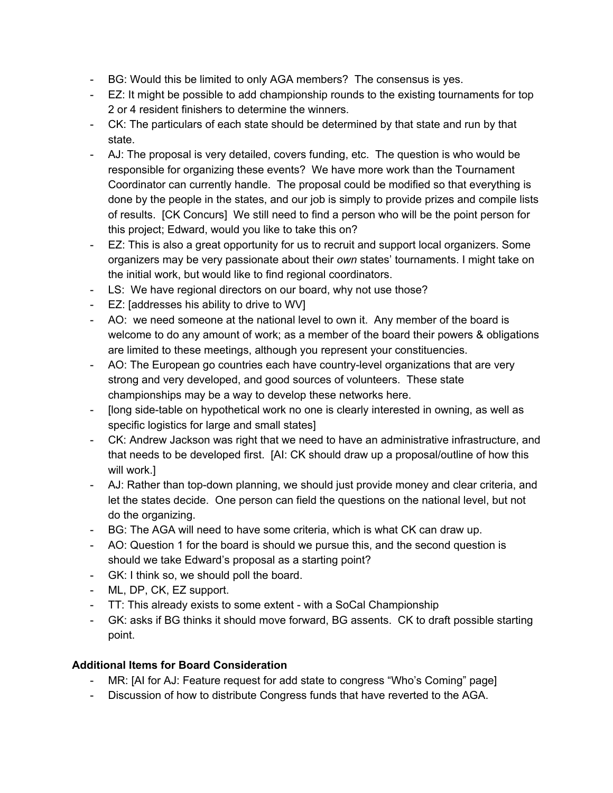- BG: Would this be limited to only AGA members? The consensus is yes.
- EZ: It might be possible to add championship rounds to the existing tournaments for top 2 or 4 resident finishers to determine the winners.
- CK: The particulars of each state should be determined by that state and run by that state.
- AJ: The proposal is very detailed, covers funding, etc. The question is who would be responsible for organizing these events? We have more work than the Tournament Coordinator can currently handle. The proposal could be modified so that everything is done by the people in the states, and our job is simply to provide prizes and compile lists of results. [CK Concurs] We still need to find a person who will be the point person for this project; Edward, would you like to take this on?
- EZ: This is also a great opportunity for us to recruit and support local organizers. Some organizers may be very passionate about their *own* states' tournaments. I might take on the initial work, but would like to find regional coordinators.
- LS: We have regional directors on our board, why not use those?
- EZ: [addresses his ability to drive to WV]
- AO: we need someone at the national level to own it. Any member of the board is welcome to do any amount of work; as a member of the board their powers & obligations are limited to these meetings, although you represent your constituencies.
- AO: The European go countries each have country-level organizations that are very strong and very developed, and good sources of volunteers. These state championships may be a way to develop these networks here.
- [long side-table on hypothetical work no one is clearly interested in owning, as well as specific logistics for large and small states]
- CK: Andrew Jackson was right that we need to have an administrative infrastructure, and that needs to be developed first. [AI: CK should draw up a proposal/outline of how this will work.]
- AJ: Rather than top-down planning, we should just provide money and clear criteria, and let the states decide. One person can field the questions on the national level, but not do the organizing.
- BG: The AGA will need to have some criteria, which is what CK can draw up.
- AO: Question 1 for the board is should we pursue this, and the second question is should we take Edward's proposal as a starting point?
- GK: I think so, we should poll the board.
- ML, DP, CK, EZ support.
- TT: This already exists to some extent with a SoCal Championship
- GK: asks if BG thinks it should move forward, BG assents. CK to draft possible starting point.

## **Additional Items for Board Consideration**

- MR: [AI for AJ: Feature request for add state to congress "Who's Coming" page]
- Discussion of how to distribute Congress funds that have reverted to the AGA.